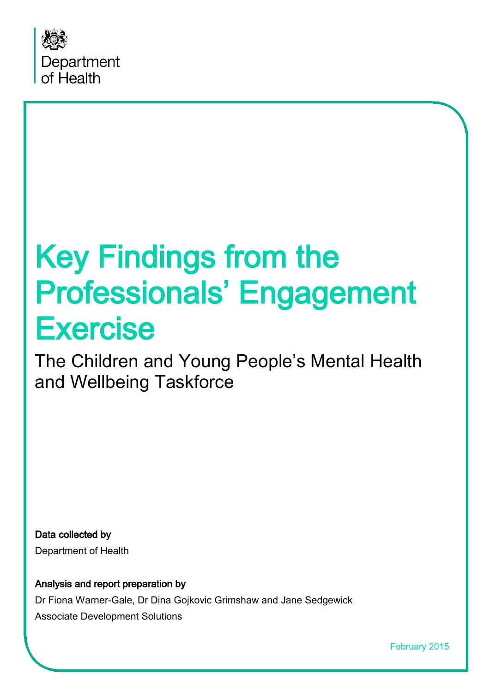

# Key Findings from the Professionals' Engagement Exercise<br>The Children and Young People's Mental Health

and Wellbeing Taskforce

Data collected by Department of Health

Analysis and report preparation by Dr Fiona Warner-Gale, Dr Dina Gojkovic Grimshaw and Jane Sedgewick Associate Development Solutions

February 2015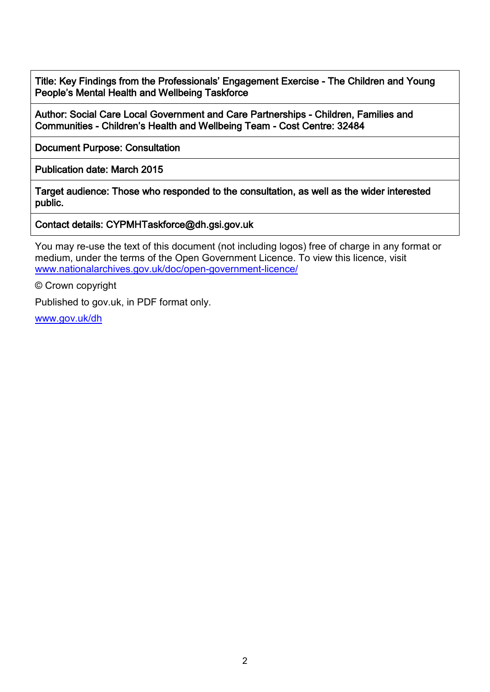Title: Key Findings from the Professionals' Engagement Exercise - The Children and Young People's Mental Health and Wellbeing Taskforce

Author: Social Care Local Government and Care Partnerships - Children, Families and Communities - Children's Health and Wellbeing Team - Cost Centre: 32484

Document Purpose: Consultation

Publication date: March 2015

Target audience: Those who responded to the consultation, as well as the wider interested public.

Contact details: CYPMHTaskforce@dh.gsi.gov.uk

You may re-use the text of this document (not including logos) free of charge in any format or medium, under the terms of the Open Government Licence. To view this licence, visit [www.nationalarchives.gov.uk/doc/open-government-licence/](http://www.nationalarchives.gov.uk/doc/open-government-licence/)

© Crown copyright

Published to gov.uk, in PDF format only.

[www.gov.uk/dh](http://www.gov.uk/dh)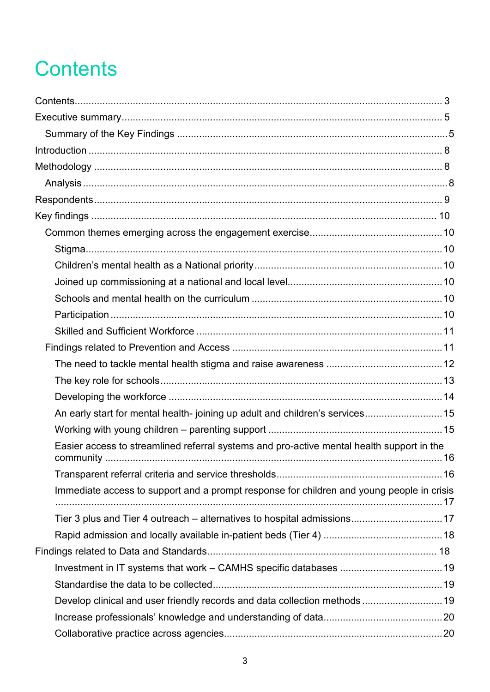# **Contents**

| An early start for mental health-joining up adult and children's services 15              |  |
|-------------------------------------------------------------------------------------------|--|
|                                                                                           |  |
| Easier access to streamlined referral systems and pro-active mental health support in the |  |
|                                                                                           |  |
| Immediate access to support and a prompt response for children and young people in crisis |  |
| Tier 3 plus and Tier 4 outreach – alternatives to hospital admissions 17                  |  |
|                                                                                           |  |
|                                                                                           |  |
|                                                                                           |  |
|                                                                                           |  |
| Develop clinical and user friendly records and data collection methods  19                |  |
|                                                                                           |  |
|                                                                                           |  |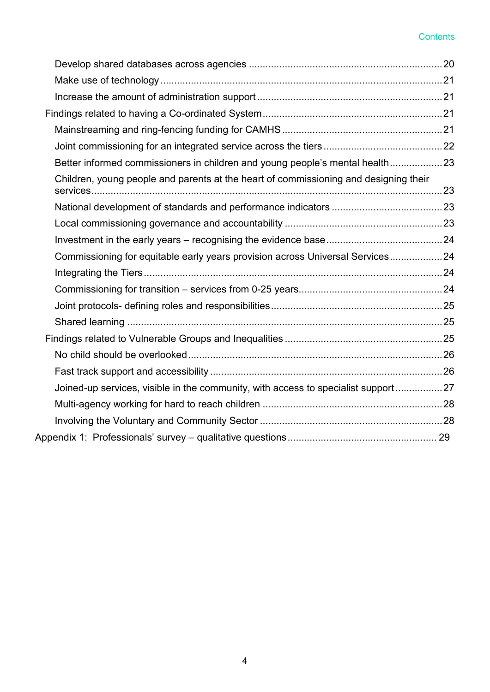#### **Contents**

| Better informed commissioners in children and young people's mental health23         |  |
|--------------------------------------------------------------------------------------|--|
| Children, young people and parents at the heart of commissioning and designing their |  |
|                                                                                      |  |
|                                                                                      |  |
|                                                                                      |  |
| Commissioning for equitable early years provision across Universal Services24        |  |
|                                                                                      |  |
|                                                                                      |  |
|                                                                                      |  |
|                                                                                      |  |
|                                                                                      |  |
|                                                                                      |  |
|                                                                                      |  |
| Joined-up services, visible in the community, with access to specialist support27    |  |
|                                                                                      |  |
|                                                                                      |  |
|                                                                                      |  |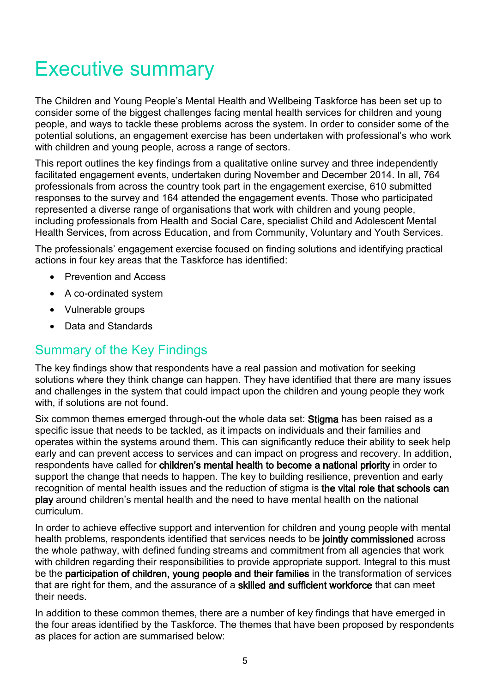# Executive summary

The Children and Young People's Mental Health and Wellbeing Taskforce has been set up to consider some of the biggest challenges facing mental health services for children and young people, and ways to tackle these problems across the system. In order to consider some of the potential solutions, an engagement exercise has been undertaken with professional's who work with children and young people, across a range of sectors.

This report outlines the key findings from a qualitative online survey and three independently facilitated engagement events, undertaken during November and December 2014. In all, 764 professionals from across the country took part in the engagement exercise, 610 submitted responses to the survey and 164 attended the engagement events. Those who participated represented a diverse range of organisations that work with children and young people, including professionals from Health and Social Care, specialist Child and Adolescent Mental Health Services, from across Education, and from Community, Voluntary and Youth Services.

The professionals' engagement exercise focused on finding solutions and identifying practical actions in four key areas that the Taskforce has identified:

- Prevention and Access
- A co-ordinated system
- Vulnerable groups
- Data and Standards

### Summary of the Key Findings

The key findings show that respondents have a real passion and motivation for seeking solutions where they think change can happen. They have identified that there are many issues and challenges in the system that could impact upon the children and young people they work with, if solutions are not found.

Six common themes emerged through-out the whole data set: Stigma has been raised as a specific issue that needs to be tackled, as it impacts on individuals and their families and operates within the systems around them. This can significantly reduce their ability to seek help early and can prevent access to services and can impact on progress and recovery. In addition, respondents have called for children's mental health to become a national priority in order to support the change that needs to happen. The key to building resilience, prevention and early recognition of mental health issues and the reduction of stigma is the vital role that schools can play around children's mental health and the need to have mental health on the national curriculum.

In order to achieve effective support and intervention for children and young people with mental health problems, respondents identified that services needs to be jointly commissioned across the whole pathway, with defined funding streams and commitment from all agencies that work with children regarding their responsibilities to provide appropriate support. Integral to this must be the participation of children, young people and their families in the transformation of services that are right for them, and the assurance of a skilled and sufficient workforce that can meet their needs.

In addition to these common themes, there are a number of key findings that have emerged in the four areas identified by the Taskforce. The themes that have been proposed by respondents as places for action are summarised below: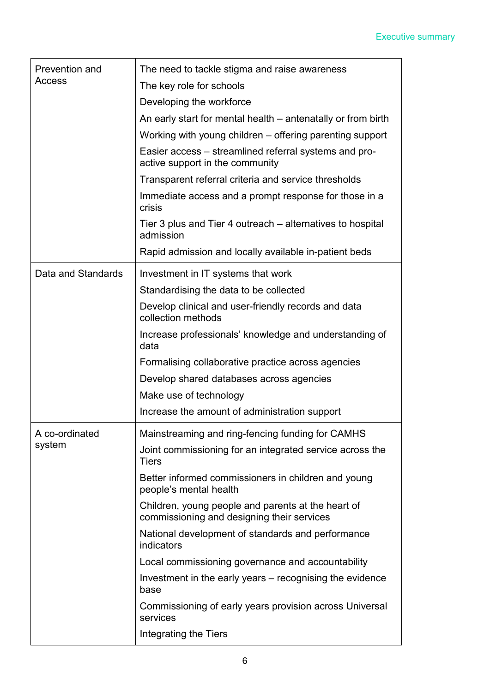| Prevention and<br>Access | The need to tackle stigma and raise awareness                                                    |
|--------------------------|--------------------------------------------------------------------------------------------------|
|                          | The key role for schools                                                                         |
|                          | Developing the workforce                                                                         |
|                          | An early start for mental health – antenatally or from birth                                     |
|                          | Working with young children - offering parenting support                                         |
|                          | Easier access – streamlined referral systems and pro-<br>active support in the community         |
|                          | Transparent referral criteria and service thresholds                                             |
|                          | Immediate access and a prompt response for those in a<br>crisis                                  |
|                          | Tier 3 plus and Tier 4 outreach – alternatives to hospital<br>admission                          |
|                          | Rapid admission and locally available in-patient beds                                            |
| Data and Standards       | Investment in IT systems that work                                                               |
|                          | Standardising the data to be collected                                                           |
|                          | Develop clinical and user-friendly records and data<br>collection methods                        |
|                          | Increase professionals' knowledge and understanding of<br>data                                   |
|                          |                                                                                                  |
|                          | Formalising collaborative practice across agencies                                               |
|                          | Develop shared databases across agencies                                                         |
|                          | Make use of technology                                                                           |
|                          | Increase the amount of administration support                                                    |
| A co-ordinated           | Mainstreaming and ring-fencing funding for CAMHS                                                 |
| system                   | Joint commissioning for an integrated service across the<br><b>Tiers</b>                         |
|                          | Better informed commissioners in children and young<br>people's mental health                    |
|                          | Children, young people and parents at the heart of<br>commissioning and designing their services |
|                          | National development of standards and performance<br>indicators                                  |
|                          | Local commissioning governance and accountability                                                |
|                          | Investment in the early years – recognising the evidence<br>base                                 |
|                          | Commissioning of early years provision across Universal<br>services                              |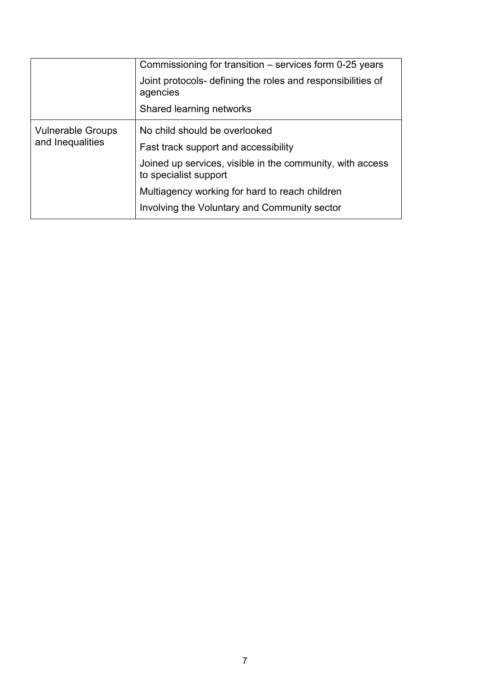|                                              | Commissioning for transition – services form 0-25 years<br>Joint protocols- defining the roles and responsibilities of<br>agencies<br>Shared learning networks                                                                                                |
|----------------------------------------------|---------------------------------------------------------------------------------------------------------------------------------------------------------------------------------------------------------------------------------------------------------------|
| <b>Vulnerable Groups</b><br>and Inequalities | No child should be overlooked<br>Fast track support and accessibility<br>Joined up services, visible in the community, with access<br>to specialist support<br>Multiagency working for hard to reach children<br>Involving the Voluntary and Community sector |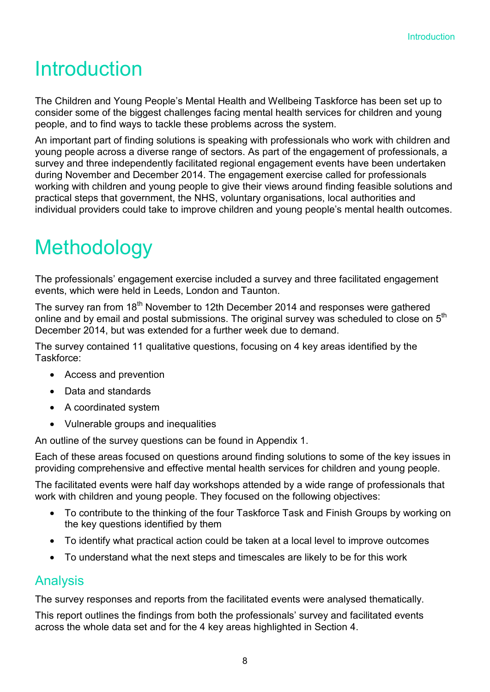# **Introduction**

The Children and Young People's Mental Health and Wellbeing Taskforce has been set up to consider some of the biggest challenges facing mental health services for children and young people, and to find ways to tackle these problems across the system.

An important part of finding solutions is speaking with professionals who work with children and young people across a diverse range of sectors. As part of the engagement of professionals, a survey and three independently facilitated regional engagement events have been undertaken during November and December 2014. The engagement exercise called for professionals working with children and young people to give their views around finding feasible solutions and practical steps that government, the NHS, voluntary organisations, local authorities and individual providers could take to improve children and young people's mental health outcomes.

# **Methodology**

The professionals' engagement exercise included a survey and three facilitated engagement events, which were held in Leeds, London and Taunton.

The survey ran from 18<sup>th</sup> November to 12th December 2014 and responses were gathered online and by email and postal submissions. The original survey was scheduled to close on  $5<sup>th</sup>$ December 2014, but was extended for a further week due to demand.

The survey contained 11 qualitative questions, focusing on 4 key areas identified by the Taskforce:

- Access and prevention
- Data and standards
- A coordinated system
- Vulnerable groups and inequalities

An outline of the survey questions can be found in Appendix 1.

Each of these areas focused on questions around finding solutions to some of the key issues in providing comprehensive and effective mental health services for children and young people.

The facilitated events were half day workshops attended by a wide range of professionals that work with children and young people. They focused on the following objectives:

- To contribute to the thinking of the four Taskforce Task and Finish Groups by working on the key questions identified by them
- To identify what practical action could be taken at a local level to improve outcomes
- To understand what the next steps and timescales are likely to be for this work

### Analysis

The survey responses and reports from the facilitated events were analysed thematically.

This report outlines the findings from both the professionals' survey and facilitated events across the whole data set and for the 4 key areas highlighted in Section 4.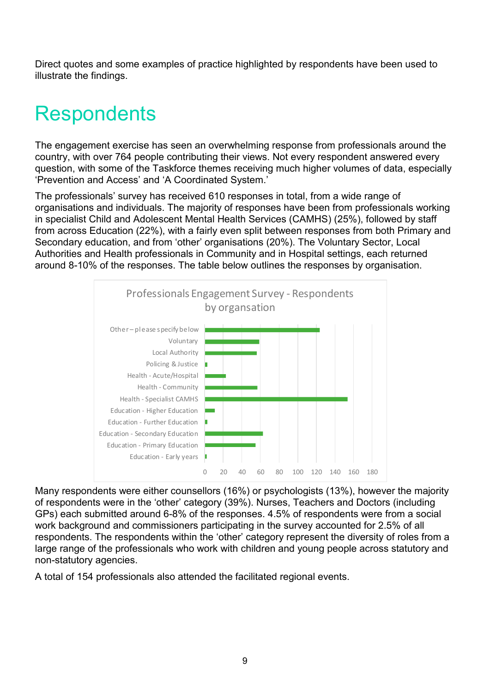Direct quotes and some examples of practice highlighted by respondents have been used to illustrate the findings.

# **Respondents**

The engagement exercise has seen an overwhelming response from professionals around the country, with over 764 people contributing their views. Not every respondent answered every question, with some of the Taskforce themes receiving much higher volumes of data, especially 'Prevention and Access' and 'A Coordinated System.'

The professionals' survey has received 610 responses in total, from a wide range of organisations and individuals. The majority of responses have been from professionals working in specialist Child and Adolescent Mental Health Services (CAMHS) (25%), followed by staff from across Education (22%), with a fairly even split between responses from both Primary and Secondary education, and from 'other' organisations (20%). The Voluntary Sector, Local Authorities and Health professionals in Community and in Hospital settings, each returned around 8-10% of the responses. The table below outlines the responses by organisation.



Many respondents were either counsellors (16%) or psychologists (13%), however the majority of respondents were in the 'other' category (39%). Nurses, Teachers and Doctors (including GPs) each submitted around 6-8% of the responses. 4.5% of respondents were from a social work background and commissioners participating in the survey accounted for 2.5% of all respondents. The respondents within the 'other' category represent the diversity of roles from a large range of the professionals who work with children and young people across statutory and non-statutory agencies.

A total of 154 professionals also attended the facilitated regional events.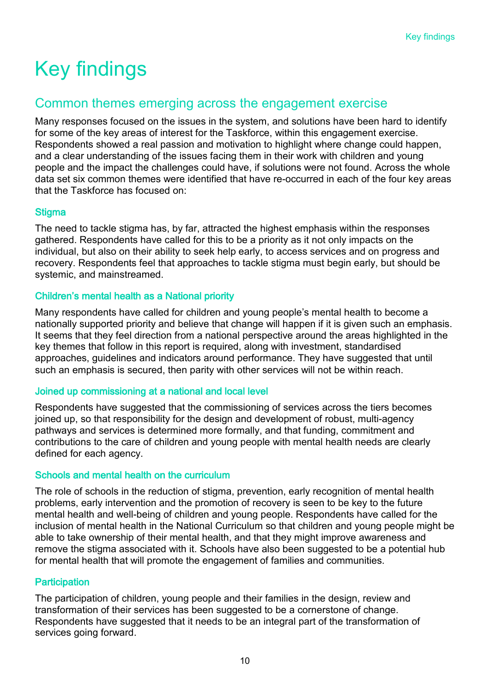# Key findings

### Common themes emerging across the engagement exercise

Many responses focused on the issues in the system, and solutions have been hard to identify for some of the key areas of interest for the Taskforce, within this engagement exercise. Respondents showed a real passion and motivation to highlight where change could happen, and a clear understanding of the issues facing them in their work with children and young people and the impact the challenges could have, if solutions were not found. Across the whole data set six common themes were identified that have re-occurred in each of the four key areas that the Taskforce has focused on:

#### **Stigma**

The need to tackle stigma has, by far, attracted the highest emphasis within the responses gathered. Respondents have called for this to be a priority as it not only impacts on the individual, but also on their ability to seek help early, to access services and on progress and recovery. Respondents feel that approaches to tackle stigma must begin early, but should be systemic, and mainstreamed.

#### Children's mental health as a National priority

Many respondents have called for children and young people's mental health to become a nationally supported priority and believe that change will happen if it is given such an emphasis. It seems that they feel direction from a national perspective around the areas highlighted in the key themes that follow in this report is required, along with investment, standardised approaches, guidelines and indicators around performance. They have suggested that until such an emphasis is secured, then parity with other services will not be within reach.

#### Joined up commissioning at a national and local level

Respondents have suggested that the commissioning of services across the tiers becomes joined up, so that responsibility for the design and development of robust, multi-agency pathways and services is determined more formally, and that funding, commitment and contributions to the care of children and young people with mental health needs are clearly defined for each agency.

#### Schools and mental health on the curriculum

The role of schools in the reduction of stigma, prevention, early recognition of mental health problems, early intervention and the promotion of recovery is seen to be key to the future mental health and well-being of children and young people. Respondents have called for the inclusion of mental health in the National Curriculum so that children and young people might be able to take ownership of their mental health, and that they might improve awareness and remove the stigma associated with it. Schools have also been suggested to be a potential hub for mental health that will promote the engagement of families and communities.

#### **Participation**

The participation of children, young people and their families in the design, review and transformation of their services has been suggested to be a cornerstone of change. Respondents have suggested that it needs to be an integral part of the transformation of services going forward.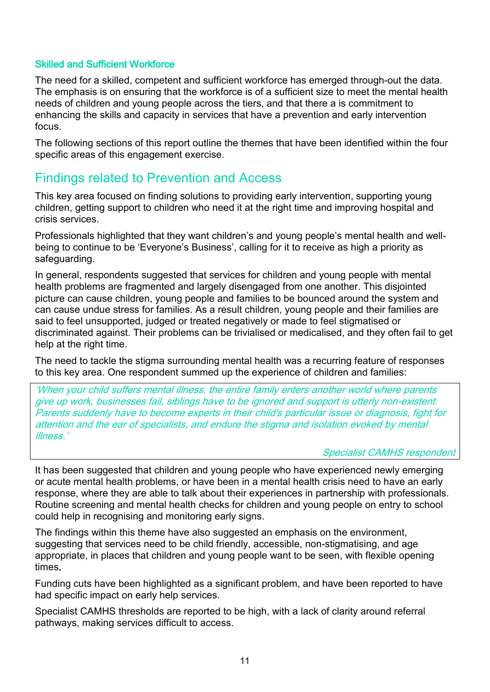#### Skilled and Sufficient Workforce

The need for a skilled, competent and sufficient workforce has emerged through-out the data. The emphasis is on ensuring that the workforce is of a sufficient size to meet the mental health needs of children and young people across the tiers, and that there a is commitment to enhancing the skills and capacity in services that have a prevention and early intervention focus.

The following sections of this report outline the themes that have been identified within the four specific areas of this engagement exercise.

### Findings related to Prevention and Access

This key area focused on finding solutions to providing early intervention, supporting young children, getting support to children who need it at the right time and improving hospital and crisis services.

Professionals highlighted that they want children's and young people's mental health and wellbeing to continue to be 'Everyone's Business', calling for it to receive as high a priority as safeguarding.

In general, respondents suggested that services for children and young people with mental health problems are fragmented and largely disengaged from one another. This disjointed picture can cause children, young people and families to be bounced around the system and can cause undue stress for families. As a result children, young people and their families are said to feel unsupported, judged or treated negatively or made to feel stigmatised or discriminated against. Their problems can be trivialised or medicalised, and they often fail to get help at the right time.

The need to tackle the stigma surrounding mental health was a recurring feature of responses to this key area. One respondent summed up the experience of children and families:

'When your child suffers mental illness, the entire family enters another world where parents give up work, businesses fail, siblings have to be ignored and support is utterly non-existent. Parents suddenly have to become experts in their child's particular issue or diagnosis, fight for attention and the ear of specialists, and endure the stigma and isolation evoked by mental illness.'

#### Specialist CAMHS respondent

It has been suggested that children and young people who have experienced newly emerging or acute mental health problems, or have been in a mental health crisis need to have an early response, where they are able to talk about their experiences in partnership with professionals. Routine screening and mental health checks for children and young people on entry to school could help in recognising and monitoring early signs.

The findings within this theme have also suggested an emphasis on the environment, suggesting that services need to be child friendly, accessible, non-stigmatising, and age appropriate, in places that children and young people want to be seen, with flexible opening times.

Funding cuts have been highlighted as a significant problem, and have been reported to have had specific impact on early help services.

Specialist CAMHS thresholds are reported to be high, with a lack of clarity around referral pathways, making services difficult to access.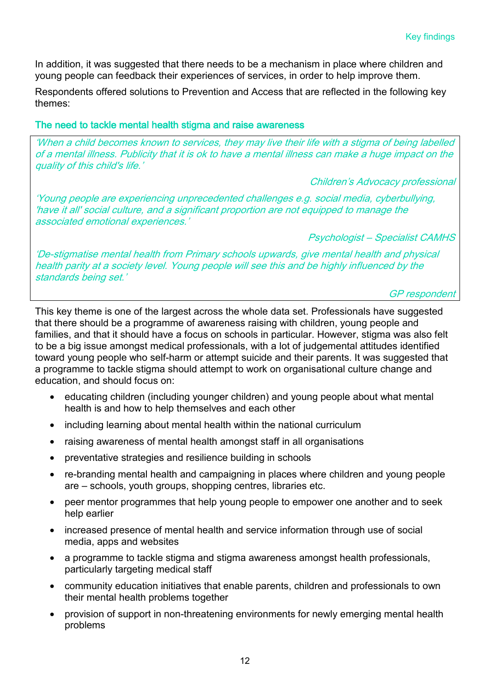In addition, it was suggested that there needs to be a mechanism in place where children and young people can feedback their experiences of services, in order to help improve them.

Respondents offered solutions to Prevention and Access that are reflected in the following key themes:

#### The need to tackle mental health stigma and raise awareness

'When a child becomes known to services, they may live their life with a stigma of being labelled of a mental illness. Publicity that it is ok to have a mental illness can make a huge impact on the quality of this child's life.'

Children's Advocacy professional

'Young people are experiencing unprecedented challenges e.g. social media, cyberbullying, 'have it all' social culture, and a significant proportion are not equipped to manage the associated emotional experiences.'

Psychologist – Specialist CAMHS

'De-stigmatise mental health from Primary schools upwards, give mental health and physical health parity at a society level. Young people will see this and be highly influenced by the standards being set.'

GP respondent

This key theme is one of the largest across the whole data set. Professionals have suggested that there should be a programme of awareness raising with children, young people and families, and that it should have a focus on schools in particular. However, stigma was also felt to be a big issue amongst medical professionals, with a lot of judgemental attitudes identified toward young people who self-harm or attempt suicide and their parents. It was suggested that a programme to tackle stigma should attempt to work on organisational culture change and education, and should focus on:

- educating children (including younger children) and young people about what mental health is and how to help themselves and each other
- including learning about mental health within the national curriculum
- raising awareness of mental health amongst staff in all organisations
- preventative strategies and resilience building in schools
- re-branding mental health and campaigning in places where children and young people are – schools, youth groups, shopping centres, libraries etc.
- peer mentor programmes that help young people to empower one another and to seek help earlier
- increased presence of mental health and service information through use of social media, apps and websites
- a programme to tackle stigma and stigma awareness amongst health professionals, particularly targeting medical staff
- community education initiatives that enable parents, children and professionals to own their mental health problems together
- provision of support in non-threatening environments for newly emerging mental health problems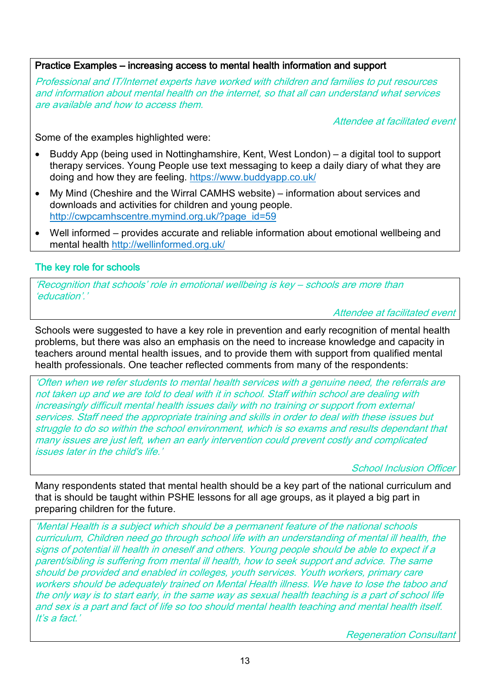#### Practice Examples – increasing access to mental health information and support

Professional and IT/Internet experts have worked with children and families to put resources and information about mental health on the internet, so that all can understand what services are available and how to access them.

Attendee at facilitated event

Some of the examples highlighted were:

- Buddy App (being used in Nottinghamshire, Kent, West London) a digital tool to support therapy services. Young People use text messaging to keep a daily diary of what they are doing and how they are feeling.<https://www.buddyapp.co.uk/>
- My Mind (Cheshire and the Wirral CAMHS website) information about services and downloads and activities for children and young people. [http://cwpcamhscentre.mymind.org.uk/?page\\_id=59](http://cwpcamhscentre.mymind.org.uk/?page_id=59)
- Well informed provides accurate and reliable information about emotional wellbeing and mental health<http://wellinformed.org.uk/>

#### The key role for schools

'Recognition that schools' role in emotional wellbeing is key – schools are more than 'education'.'

Attendee at facilitated event

Schools were suggested to have a key role in prevention and early recognition of mental health problems, but there was also an emphasis on the need to increase knowledge and capacity in teachers around mental health issues, and to provide them with support from qualified mental health professionals. One teacher reflected comments from many of the respondents:

'Often when we refer students to mental health services with a genuine need, the referrals are not taken up and we are told to deal with it in school. Staff within school are dealing with increasingly difficult mental health issues daily with no training or support from external services. Staff need the appropriate training and skills in order to deal with these issues but struggle to do so within the school environment, which is so exams and results dependant that many issues are just left, when an early intervention could prevent costly and complicated issues later in the child's life.'

**School Inclusion Officer** 

Many respondents stated that mental health should be a key part of the national curriculum and that is should be taught within PSHE lessons for all age groups, as it played a big part in preparing children for the future.

'Mental Health is a subject which should be a permanent feature of the national schools curriculum, Children need go through school life with an understanding of mental ill health, the signs of potential ill health in oneself and others. Young people should be able to expect if a parent/sibling is suffering from mental ill health, how to seek support and advice. The same should be provided and enabled in colleges, youth services. Youth workers, primary care workers should be adequately trained on Mental Health illness. We have to lose the taboo and the only way is to start early, in the same way as sexual health teaching is a part of school life and sex is a part and fact of life so too should mental health teaching and mental health itself. It's a fact.'

Regeneration Consultant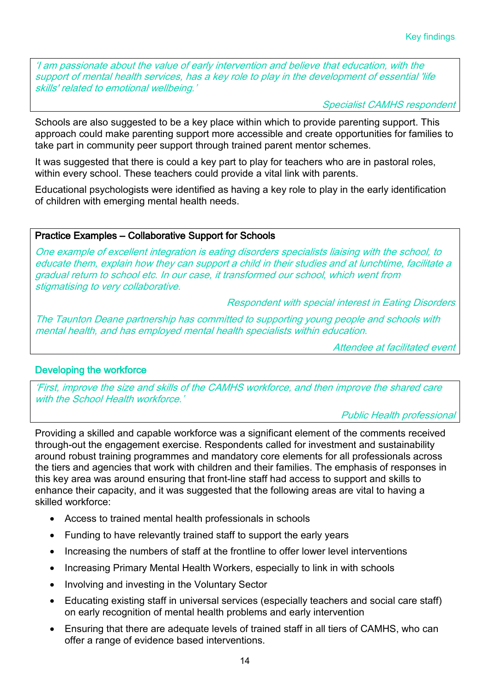'I am passionate about the value of early intervention and believe that education, with the support of mental health services, has a key role to play in the development of essential 'life skills' related to emotional wellbeing.'

Specialist CAMHS respondent

Schools are also suggested to be a key place within which to provide parenting support. This approach could make parenting support more accessible and create opportunities for families to take part in community peer support through trained parent mentor schemes.

It was suggested that there is could a key part to play for teachers who are in pastoral roles, within every school. These teachers could provide a vital link with parents.

Educational psychologists were identified as having a key role to play in the early identification of children with emerging mental health needs.

#### Practice Examples – Collaborative Support for Schools

One example of excellent integration is eating disorders specialists liaising with the school, to educate them, explain how they can support a child in their studies and at lunchtime, facilitate a gradual return to school etc. In our case, it transformed our school, which went from stigmatising to very collaborative.

Respondent with special interest in Eating Disorders

The Taunton Deane partnership has committed to supporting young people and schools with mental health, and has employed mental health specialists within education.

Attendee at facilitated event

#### Developing the workforce

'First, improve the size and skills of the CAMHS workforce, and then improve the shared care with the School Health workforce.'

Public Health professional

Providing a skilled and capable workforce was a significant element of the comments received through-out the engagement exercise. Respondents called for investment and sustainability around robust training programmes and mandatory core elements for all professionals across the tiers and agencies that work with children and their families. The emphasis of responses in this key area was around ensuring that front-line staff had access to support and skills to enhance their capacity, and it was suggested that the following areas are vital to having a skilled workforce:

- Access to trained mental health professionals in schools
- Funding to have relevantly trained staff to support the early years
- Increasing the numbers of staff at the frontline to offer lower level interventions
- Increasing Primary Mental Health Workers, especially to link in with schools
- Involving and investing in the Voluntary Sector
- Educating existing staff in universal services (especially teachers and social care staff) on early recognition of mental health problems and early intervention
- Ensuring that there are adequate levels of trained staff in all tiers of CAMHS, who can offer a range of evidence based interventions.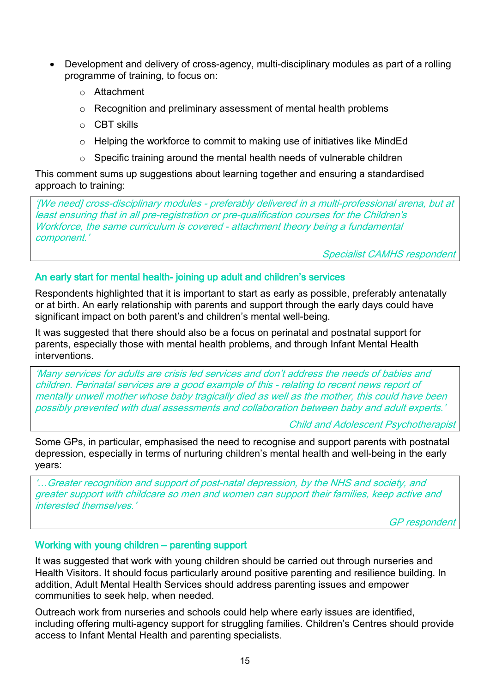- Development and delivery of cross-agency, multi-disciplinary modules as part of a rolling programme of training, to focus on:
	- o Attachment
	- o Recognition and preliminary assessment of mental health problems
	- o CBT skills
	- o Helping the workforce to commit to making use of initiatives like MindEd
	- o Specific training around the mental health needs of vulnerable children

This comment sums up suggestions about learning together and ensuring a standardised approach to training:

'[We need] cross-disciplinary modules - preferably delivered in a multi-professional arena, but at least ensuring that in all pre-registration or pre-qualification courses for the Children's Workforce, the same curriculum is covered - attachment theory being a fundamental component.'

Specialist CAMHS respondent

#### An early start for mental health- joining up adult and children's services

Respondents highlighted that it is important to start as early as possible, preferably antenatally or at birth. An early relationship with parents and support through the early days could have significant impact on both parent's and children's mental well-being.

It was suggested that there should also be a focus on perinatal and postnatal support for parents, especially those with mental health problems, and through Infant Mental Health interventions.

'Many services for adults are crisis led services and don't address the needs of babies and children. Perinatal services are a good example of this - relating to recent news report of mentally unwell mother whose baby tragically died as well as the mother, this could have been possibly prevented with dual assessments and collaboration between baby and adult experts.'

Child and Adolescent Psychotherapist

Some GPs, in particular, emphasised the need to recognise and support parents with postnatal depression, especially in terms of nurturing children's mental health and well-being in the early years:

'…Greater recognition and support of post-natal depression, by the NHS and society, and greater support with childcare so men and women can support their families, keep active and interested themselves.'

GP respondent

#### Working with young children – parenting support

It was suggested that work with young children should be carried out through nurseries and Health Visitors. It should focus particularly around positive parenting and resilience building. In addition, Adult Mental Health Services should address parenting issues and empower communities to seek help, when needed.

Outreach work from nurseries and schools could help where early issues are identified, including offering multi-agency support for struggling families. Children's Centres should provide access to Infant Mental Health and parenting specialists.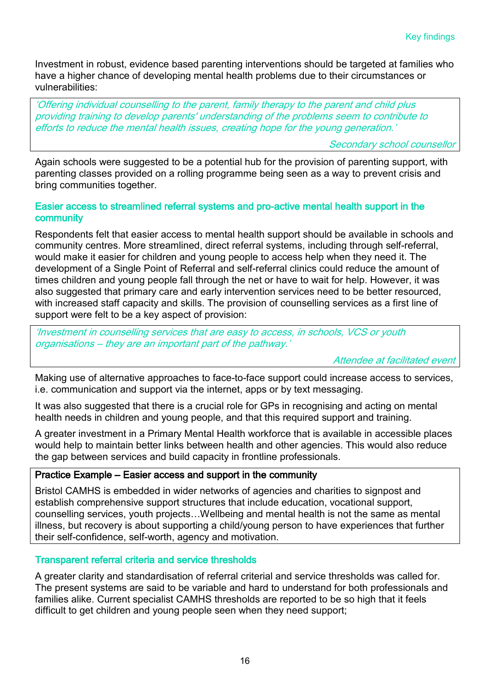Investment in robust, evidence based parenting interventions should be targeted at families who have a higher chance of developing mental health problems due to their circumstances or vulnerabilities:

'Offering individual counselling to the parent, family therapy to the parent and child plus providing training to develop parents' understanding of the problems seem to contribute to efforts to reduce the mental health issues, creating hope for the young generation.'

Secondary school counsellor

Again schools were suggested to be a potential hub for the provision of parenting support, with parenting classes provided on a rolling programme being seen as a way to prevent crisis and bring communities together.

#### Easier access to streamlined referral systems and pro-active mental health support in the community

Respondents felt that easier access to mental health support should be available in schools and community centres. More streamlined, direct referral systems, including through self-referral, would make it easier for children and young people to access help when they need it. The development of a Single Point of Referral and self-referral clinics could reduce the amount of times children and young people fall through the net or have to wait for help. However, it was also suggested that primary care and early intervention services need to be better resourced, with increased staff capacity and skills. The provision of counselling services as a first line of support were felt to be a key aspect of provision:

'Investment in counselling services that are easy to access, in schools, VCS or youth organisations – they are an important part of the pathway.'

Attendee at facilitated event

Making use of alternative approaches to face-to-face support could increase access to services, i.e. communication and support via the internet, apps or by text messaging.

It was also suggested that there is a crucial role for GPs in recognising and acting on mental health needs in children and young people, and that this required support and training.

A greater investment in a Primary Mental Health workforce that is available in accessible places would help to maintain better links between health and other agencies. This would also reduce the gap between services and build capacity in frontline professionals.

#### Practice Example – Easier access and support in the community

Bristol CAMHS is embedded in wider networks of agencies and charities to signpost and establish comprehensive support structures that include education, vocational support, counselling services, youth projects…Wellbeing and mental health is not the same as mental illness, but recovery is about supporting a child/young person to have experiences that further their self-confidence, self-worth, agency and motivation.

#### Transparent referral criteria and service thresholds

A greater clarity and standardisation of referral criterial and service thresholds was called for. The present systems are said to be variable and hard to understand for both professionals and families alike. Current specialist CAMHS thresholds are reported to be so high that it feels difficult to get children and young people seen when they need support;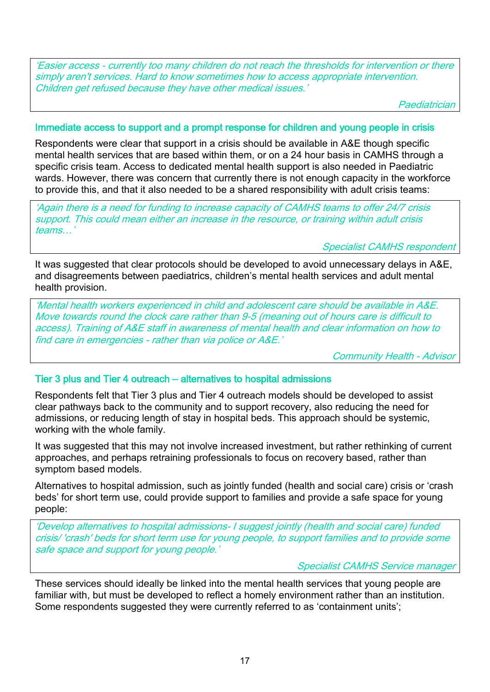'Easier access - currently too many children do not reach the thresholds for intervention or there simply aren't services. Hard to know sometimes how to access appropriate intervention. Children get refused because they have other medical issues.'

Paediatrician

#### Immediate access to support and a prompt response for children and young people in crisis

Respondents were clear that support in a crisis should be available in A&E though specific mental health services that are based within them, or on a 24 hour basis in CAMHS through a specific crisis team. Access to dedicated mental health support is also needed in Paediatric wards. However, there was concern that currently there is not enough capacity in the workforce to provide this, and that it also needed to be a shared responsibility with adult crisis teams:

'Again there is a need for funding to increase capacity of CAMHS teams to offer 24/7 crisis support. This could mean either an increase in the resource, or training within adult crisis teams…'

Specialist CAMHS respondent

It was suggested that clear protocols should be developed to avoid unnecessary delays in A&E, and disagreements between paediatrics, children's mental health services and adult mental health provision.

'Mental health workers experienced in child and adolescent care should be available in A&E. Move towards round the clock care rather than 9-5 (meaning out of hours care is difficult to access). Training of A&E staff in awareness of mental health and clear information on how to find care in emergencies - rather than via police or A&E.'

Community Health - Advisor

#### Tier 3 plus and Tier 4 outreach – alternatives to hospital admissions

Respondents felt that Tier 3 plus and Tier 4 outreach models should be developed to assist clear pathways back to the community and to support recovery, also reducing the need for admissions, or reducing length of stay in hospital beds. This approach should be systemic, working with the whole family.

It was suggested that this may not involve increased investment, but rather rethinking of current approaches, and perhaps retraining professionals to focus on recovery based, rather than symptom based models.

Alternatives to hospital admission, such as jointly funded (health and social care) crisis or 'crash beds' for short term use, could provide support to families and provide a safe space for young people:

'Develop alternatives to hospital admissions- I suggest jointly (health and social care) funded crisis/ 'crash' beds for short term use for young people, to support families and to provide some safe space and support for young people.'

Specialist CAMHS Service manager

These services should ideally be linked into the mental health services that young people are familiar with, but must be developed to reflect a homely environment rather than an institution. Some respondents suggested they were currently referred to as 'containment units';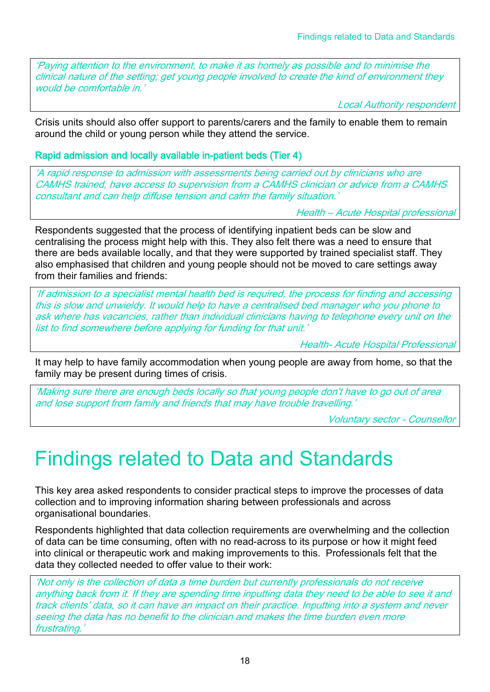'Paying attention to the environment, to make it as homely as possible and to minimise the clinical nature of the setting; get young people involved to create the kind of environment they would be comfortable in.<sup>1</sup>

Local Authority respondent

Crisis units should also offer support to parents/carers and the family to enable them to remain around the child or young person while they attend the service.

Rapid admission and locally available in-patient beds (Tier 4)

'A rapid response to admission with assessments being carried out by clinicians who are CAMHS trained, have access to supervision from a CAMHS clinician or advice from a CAMHS consultant and can help diffuse tension and calm the family situation.'

Health – Acute Hospital professional

Respondents suggested that the process of identifying inpatient beds can be slow and centralising the process might help with this. They also felt there was a need to ensure that there are beds available locally, and that they were supported by trained specialist staff. They also emphasised that children and young people should not be moved to care settings away from their families and friends:

'If admission to a specialist mental health bed is required, the process for finding and accessing this is slow and unwieldy. It would help to have a centralised bed manager who you phone to ask where has vacancies, rather than individual clinicians having to telephone every unit on the list to find somewhere before applying for funding for that unit.'

Health- Acute Hospital Professional

It may help to have family accommodation when young people are away from home, so that the family may be present during times of crisis.

'Making sure there are enough beds locally so that young people don't have to go out of area and lose support from family and friends that may have trouble travelling.'

Voluntary sector - Counsellor

# Findings related to Data and Standards

This key area asked respondents to consider practical steps to improve the processes of data collection and to improving information sharing between professionals and across organisational boundaries.

Respondents highlighted that data collection requirements are overwhelming and the collection of data can be time consuming, often with no read-across to its purpose or how it might feed into clinical or therapeutic work and making improvements to this. Professionals felt that the data they collected needed to offer value to their work:

'Not only is the collection of data a time burden but currently professionals do not receive anything back from it. If they are spending time inputting data they need to be able to see it and track clients' data, so it can have an impact on their practice. Inputting into a system and never seeing the data has no benefit to the clinician and makes the time burden even more frustrating.'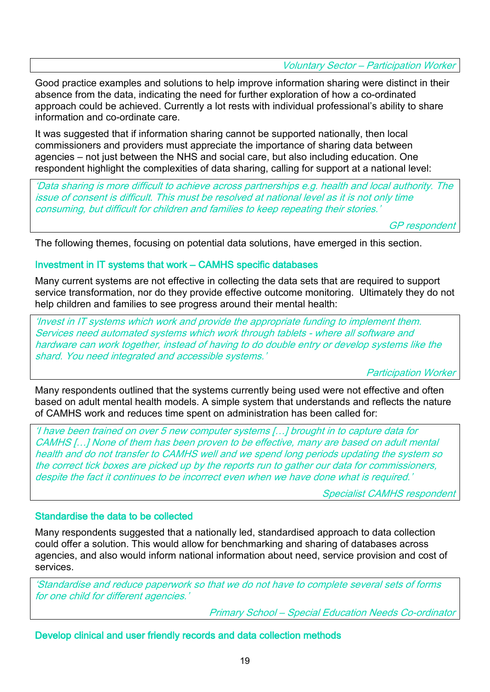Voluntary Sector – Participation Worker

Good practice examples and solutions to help improve information sharing were distinct in their absence from the data, indicating the need for further exploration of how a co-ordinated approach could be achieved. Currently a lot rests with individual professional's ability to share information and co-ordinate care.

It was suggested that if information sharing cannot be supported nationally, then local commissioners and providers must appreciate the importance of sharing data between agencies – not just between the NHS and social care, but also including education. One respondent highlight the complexities of data sharing, calling for support at a national level:

'Data sharing is more difficult to achieve across partnerships e.g. health and local authority. The issue of consent is difficult. This must be resolved at national level as it is not only time consuming, but difficult for children and families to keep repeating their stories.'

GP respondent

The following themes, focusing on potential data solutions, have emerged in this section.

#### Investment in IT systems that work – CAMHS specific databases

Many current systems are not effective in collecting the data sets that are required to support service transformation, nor do they provide effective outcome monitoring. Ultimately they do not help children and families to see progress around their mental health:

'Invest in IT systems which work and provide the appropriate funding to implement them. Services need automated systems which work through tablets - where all software and hardware can work together, instead of having to do double entry or develop systems like the shard. You need integrated and accessible systems.'

Participation Worker

Many respondents outlined that the systems currently being used were not effective and often based on adult mental health models. A simple system that understands and reflects the nature of CAMHS work and reduces time spent on administration has been called for:

'I have been trained on over 5 new computer systems […] brought in to capture data for CAMHS […] None of them has been proven to be effective, many are based on adult mental health and do not transfer to CAMHS well and we spend long periods updating the system so the correct tick boxes are picked up by the reports run to gather our data for commissioners, despite the fact it continues to be incorrect even when we have done what is required.'

Specialist CAMHS respondent

#### Standardise the data to be collected

Many respondents suggested that a nationally led, standardised approach to data collection could offer a solution. This would allow for benchmarking and sharing of databases across agencies, and also would inform national information about need, service provision and cost of services.

'Standardise and reduce paperwork so that we do not have to complete several sets of forms for one child for different agencies.'

Primary School – Special Education Needs Co-ordinator

Develop clinical and user friendly records and data collection methods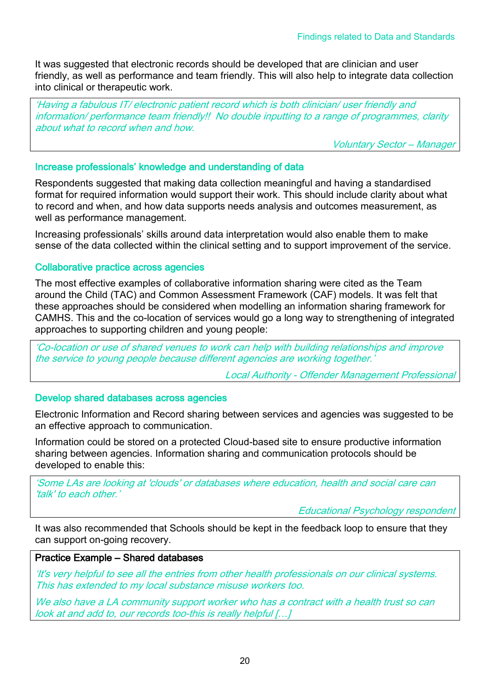It was suggested that electronic records should be developed that are clinician and user friendly, as well as performance and team friendly. This will also help to integrate data collection into clinical or therapeutic work.

'Having a fabulous IT/ electronic patient record which is both clinician/ user friendly and information/ performance team friendly!! No double inputting to a range of programmes, clarity about what to record when and how.

Voluntary Sector – Manager

#### Increase professionals' knowledge and understanding of data

Respondents suggested that making data collection meaningful and having a standardised format for required information would support their work. This should include clarity about what to record and when, and how data supports needs analysis and outcomes measurement, as well as performance management.

Increasing professionals' skills around data interpretation would also enable them to make sense of the data collected within the clinical setting and to support improvement of the service.

#### Collaborative practice across agencies

The most effective examples of collaborative information sharing were cited as the Team around the Child (TAC) and Common Assessment Framework (CAF) models. It was felt that these approaches should be considered when modelling an information sharing framework for CAMHS. This and the co-location of services would go a long way to strengthening of integrated approaches to supporting children and young people:

'Co-location or use of shared venues to work can help with building relationships and improve the service to young people because different agencies are working together.'

Local Authority - Offender Management Professional

#### Develop shared databases across agencies

Electronic Information and Record sharing between services and agencies was suggested to be an effective approach to communication.

Information could be stored on a protected Cloud-based site to ensure productive information sharing between agencies. Information sharing and communication protocols should be developed to enable this:

'Some LAs are looking at 'clouds' or databases where education, health and social care can 'talk' to each other.'

Educational Psychology respondent

It was also recommended that Schools should be kept in the feedback loop to ensure that they can support on-going recovery.

#### Practice Example – Shared databases

'It's very helpful to see all the entries from other health professionals on our clinical systems. This has extended to my local substance misuse workers too.

We also have a LA community support worker who has a contract with a health trust so can look at and add to, our records too-this is really helpful […]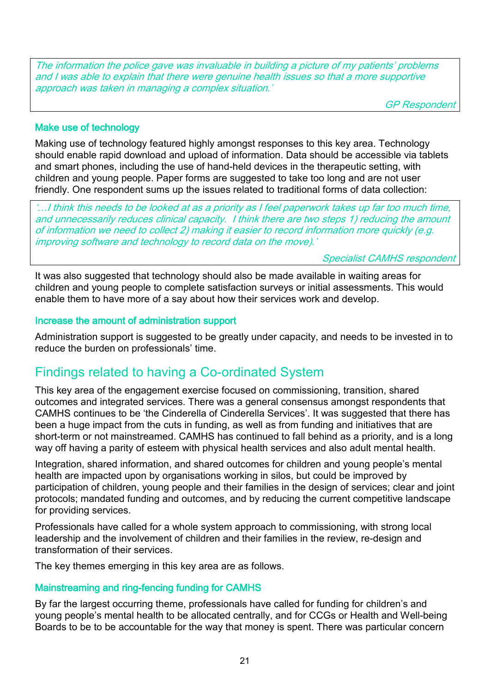The information the police gave was invaluable in building a picture of my patients' problems and I was able to explain that there were genuine health issues so that a more supportive approach was taken in managing a complex situation.'

GP Respondent

#### Make use of technology

Making use of technology featured highly amongst responses to this key area. Technology should enable rapid download and upload of information. Data should be accessible via tablets and smart phones, including the use of hand-held devices in the therapeutic setting, with children and young people. Paper forms are suggested to take too long and are not user friendly. One respondent sums up the issues related to traditional forms of data collection:

'…I think this needs to be looked at as a priority as I feel paperwork takes up far too much time, and unnecessarily reduces clinical capacity. I think there are two steps 1) reducing the amount of information we need to collect 2) making it easier to record information more quickly (e.g. improving software and technology to record data on the move).'

Specialist CAMHS respondent

It was also suggested that technology should also be made available in waiting areas for children and young people to complete satisfaction surveys or initial assessments. This would enable them to have more of a say about how their services work and develop.

#### Increase the amount of administration support

Administration support is suggested to be greatly under capacity, and needs to be invested in to reduce the burden on professionals' time.

### Findings related to having a Co-ordinated System

This key area of the engagement exercise focused on commissioning, transition, shared outcomes and integrated services. There was a general consensus amongst respondents that CAMHS continues to be 'the Cinderella of Cinderella Services'. It was suggested that there has been a huge impact from the cuts in funding, as well as from funding and initiatives that are short-term or not mainstreamed. CAMHS has continued to fall behind as a priority, and is a long way off having a parity of esteem with physical health services and also adult mental health.

Integration, shared information, and shared outcomes for children and young people's mental health are impacted upon by organisations working in silos, but could be improved by participation of children, young people and their families in the design of services; clear and joint protocols; mandated funding and outcomes, and by reducing the current competitive landscape for providing services.

Professionals have called for a whole system approach to commissioning, with strong local leadership and the involvement of children and their families in the review, re-design and transformation of their services.

The key themes emerging in this key area are as follows.

#### Mainstreaming and ring-fencing funding for CAMHS

By far the largest occurring theme, professionals have called for funding for children's and young people's mental health to be allocated centrally, and for CCGs or Health and Well-being Boards to be to be accountable for the way that money is spent. There was particular concern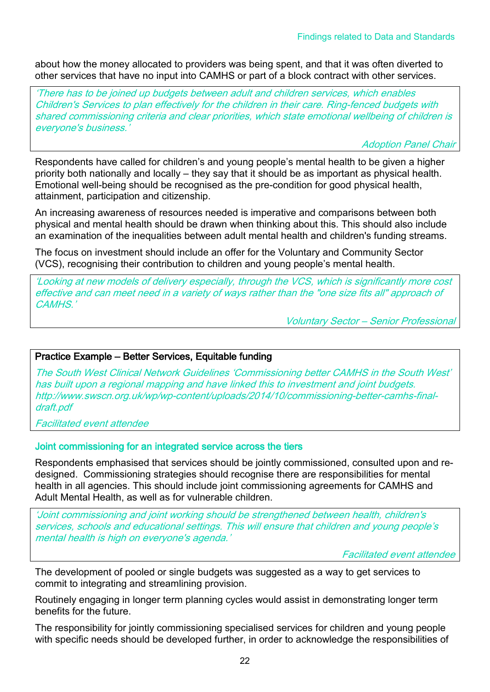about how the money allocated to providers was being spent, and that it was often diverted to other services that have no input into CAMHS or part of a block contract with other services.

'There has to be joined up budgets between adult and children services, which enables Children's Services to plan effectively for the children in their care. Ring-fenced budgets with shared commissioning criteria and clear priorities, which state emotional wellbeing of children is everyone's business.'

Adoption Panel Chair

Respondents have called for children's and young people's mental health to be given a higher priority both nationally and locally – they say that it should be as important as physical health. Emotional well-being should be recognised as the pre-condition for good physical health, attainment, participation and citizenship.

An increasing awareness of resources needed is imperative and comparisons between both physical and mental health should be drawn when thinking about this. This should also include an examination of the inequalities between adult mental health and children's funding streams.

The focus on investment should include an offer for the Voluntary and Community Sector (VCS), recognising their contribution to children and young people's mental health.

'Looking at new models of delivery especially, through the VCS, which is significantly more cost effective and can meet need in a variety of ways rather than the "one size fits all" approach of CAMHS.'

Voluntary Sector – Senior Professional

#### Practice Example – Better Services, Equitable funding

The South West Clinical Network Guidelines 'Commissioning better CAMHS in the South West' has built upon a regional mapping and have linked this to investment and joint budgets. [http://www.swscn.org.uk/wp/wp-content/uploads/2014/10/commissioning-better-camhs-final](http://www.swscn.org.uk/wp/wp-content/uploads/2014/10/commissioning-better-camhs-final-draft.pdf)[draft.pdf](http://www.swscn.org.uk/wp/wp-content/uploads/2014/10/commissioning-better-camhs-final-draft.pdf)

Facilitated event attendee

#### Joint commissioning for an integrated service across the tiers

Respondents emphasised that services should be jointly commissioned, consulted upon and redesigned. Commissioning strategies should recognise there are responsibilities for mental health in all agencies. This should include joint commissioning agreements for CAMHS and Adult Mental Health, as well as for vulnerable children.

'Joint commissioning and joint working should be strengthened between health, children's services, schools and educational settings. This will ensure that children and young people's mental health is high on everyone's agenda.'

Facilitated event attendee

The development of pooled or single budgets was suggested as a way to get services to commit to integrating and streamlining provision.

Routinely engaging in longer term planning cycles would assist in demonstrating longer term benefits for the future.

The responsibility for jointly commissioning specialised services for children and young people with specific needs should be developed further, in order to acknowledge the responsibilities of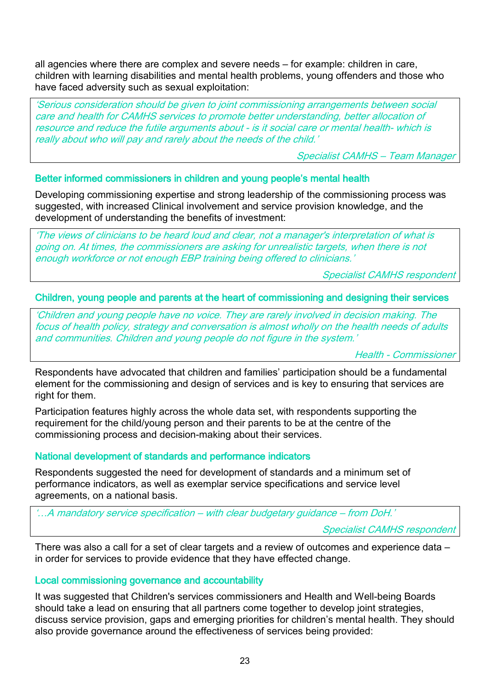all agencies where there are complex and severe needs – for example: children in care, children with learning disabilities and mental health problems, young offenders and those who have faced adversity such as sexual exploitation:

'Serious consideration should be given to joint commissioning arrangements between social care and health for CAMHS services to promote better understanding, better allocation of resource and reduce the futile arguments about - is it social care or mental health- which is really about who will pay and rarely about the needs of the child.'

Specialist CAMHS – Team Manager

#### Better informed commissioners in children and young people's mental health

Developing commissioning expertise and strong leadership of the commissioning process was suggested, with increased Clinical involvement and service provision knowledge, and the development of understanding the benefits of investment:

'The views of clinicians to be heard loud and clear, not a manager's interpretation of what is going on. At times, the commissioners are asking for unrealistic targets, when there is not enough workforce or not enough EBP training being offered to clinicians.'

Specialist CAMHS respondent

#### Children, young people and parents at the heart of commissioning and designing their services

'Children and young people have no voice. They are rarely involved in decision making. The focus of health policy, strategy and conversation is almost wholly on the health needs of adults and communities. Children and young people do not figure in the system.'

Health - Commissioner

Respondents have advocated that children and families' participation should be a fundamental element for the commissioning and design of services and is key to ensuring that services are right for them.

Participation features highly across the whole data set, with respondents supporting the requirement for the child/young person and their parents to be at the centre of the commissioning process and decision-making about their services.

#### National development of standards and performance indicators

Respondents suggested the need for development of standards and a minimum set of performance indicators, as well as exemplar service specifications and service level agreements, on a national basis.

'…A mandatory service specification – with clear budgetary guidance – from DoH.'

Specialist CAMHS respondent

There was also a call for a set of clear targets and a review of outcomes and experience data – in order for services to provide evidence that they have effected change.

#### Local commissioning governance and accountability

It was suggested that Children's services commissioners and Health and Well-being Boards should take a lead on ensuring that all partners come together to develop joint strategies, discuss service provision, gaps and emerging priorities for children's mental health. They should also provide governance around the effectiveness of services being provided: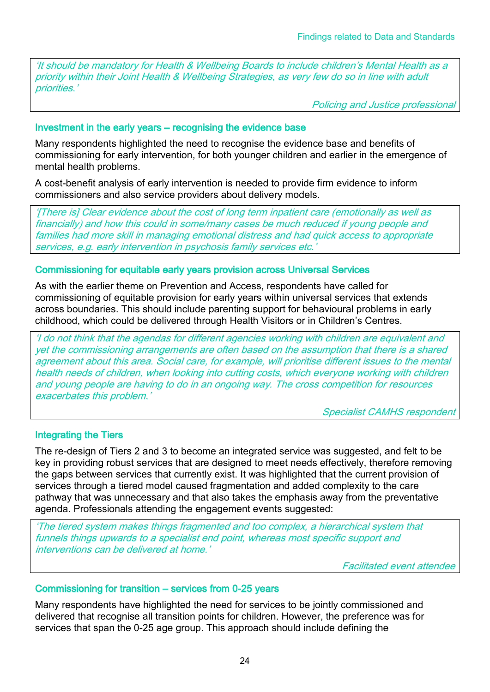'It should be mandatory for Health & Wellbeing Boards to include children's Mental Health as a priority within their Joint Health & Wellbeing Strategies, as very few do so in line with adult priorities.'

Policing and Justice professional

#### Investment in the early years – recognising the evidence base

Many respondents highlighted the need to recognise the evidence base and benefits of commissioning for early intervention, for both younger children and earlier in the emergence of mental health problems.

A cost-benefit analysis of early intervention is needed to provide firm evidence to inform commissioners and also service providers about delivery models.

'[There is] Clear evidence about the cost of long term inpatient care (emotionally as well as financially) and how this could in some/many cases be much reduced if young people and families had more skill in managing emotional distress and had quick access to appropriate services, e.g. early intervention in psychosis family services etc.

#### Commissioning for equitable early years provision across Universal Services

As with the earlier theme on Prevention and Access, respondents have called for commissioning of equitable provision for early years within universal services that extends across boundaries. This should include parenting support for behavioural problems in early childhood, which could be delivered through Health Visitors or in Children's Centres.

'I do not think that the agendas for different agencies working with children are equivalent and yet the commissioning arrangements are often based on the assumption that there is a shared agreement about this area. Social care, for example, will prioritise different issues to the mental health needs of children, when looking into cutting costs, which everyone working with children and young people are having to do in an ongoing way. The cross competition for resources exacerbates this problem.'

Specialist CAMHS respondent

#### Integrating the Tiers

The re-design of Tiers 2 and 3 to become an integrated service was suggested, and felt to be key in providing robust services that are designed to meet needs effectively, therefore removing the gaps between services that currently exist. It was highlighted that the current provision of services through a tiered model caused fragmentation and added complexity to the care pathway that was unnecessary and that also takes the emphasis away from the preventative agenda. Professionals attending the engagement events suggested:

'The tiered system makes things fragmented and too complex, a hierarchical system that funnels things upwards to a specialist end point, whereas most specific support and interventions can be delivered at home.'

Facilitated event attendee

#### Commissioning for transition – services from 0-25 years

Many respondents have highlighted the need for services to be jointly commissioned and delivered that recognise all transition points for children. However, the preference was for services that span the 0-25 age group. This approach should include defining the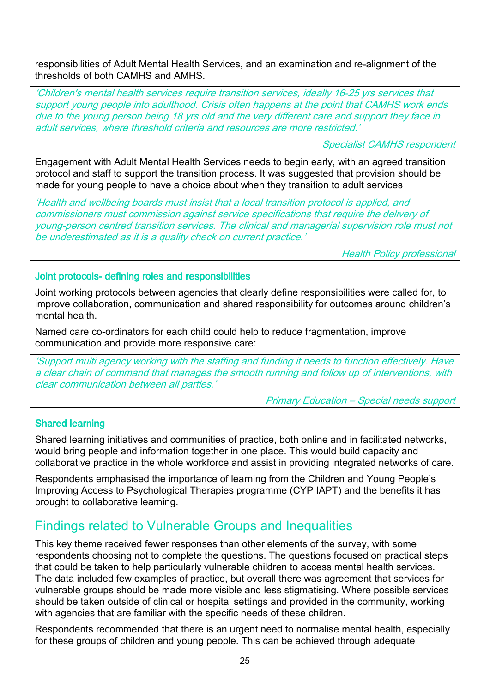responsibilities of Adult Mental Health Services, and an examination and re-alignment of the thresholds of both CAMHS and AMHS.

'Children's mental health services require transition services, ideally 16-25 yrs services that support young people into adulthood. Crisis often happens at the point that CAMHS work ends due to the young person being 18 yrs old and the very different care and support they face in adult services, where threshold criteria and resources are more restricted.

Specialist CAMHS respondent

Engagement with Adult Mental Health Services needs to begin early, with an agreed transition protocol and staff to support the transition process. It was suggested that provision should be made for young people to have a choice about when they transition to adult services

'Health and wellbeing boards must insist that a local transition protocol is applied, and commissioners must commission against service specifications that require the delivery of young-person centred transition services. The clinical and managerial supervision role must not be underestimated as it is a quality check on current practice.'

Health Policy professional

Joint protocols- defining roles and responsibilities

Joint working protocols between agencies that clearly define responsibilities were called for, to improve collaboration, communication and shared responsibility for outcomes around children's mental health.

Named care co-ordinators for each child could help to reduce fragmentation, improve communication and provide more responsive care:

'Support multi agency working with the staffing and funding it needs to function effectively. Have a clear chain of command that manages the smooth running and follow up of interventions, with clear communication between all parties.'

Primary Education – Special needs support

#### Shared learning

Shared learning initiatives and communities of practice, both online and in facilitated networks, would bring people and information together in one place. This would build capacity and collaborative practice in the whole workforce and assist in providing integrated networks of care.

Respondents emphasised the importance of learning from the Children and Young People's Improving Access to Psychological Therapies programme (CYP IAPT) and the benefits it has brought to collaborative learning.

### Findings related to Vulnerable Groups and Inequalities

This key theme received fewer responses than other elements of the survey, with some respondents choosing not to complete the questions. The questions focused on practical steps that could be taken to help particularly vulnerable children to access mental health services. The data included few examples of practice, but overall there was agreement that services for vulnerable groups should be made more visible and less stigmatising. Where possible services should be taken outside of clinical or hospital settings and provided in the community, working with agencies that are familiar with the specific needs of these children.

Respondents recommended that there is an urgent need to normalise mental health, especially for these groups of children and young people. This can be achieved through adequate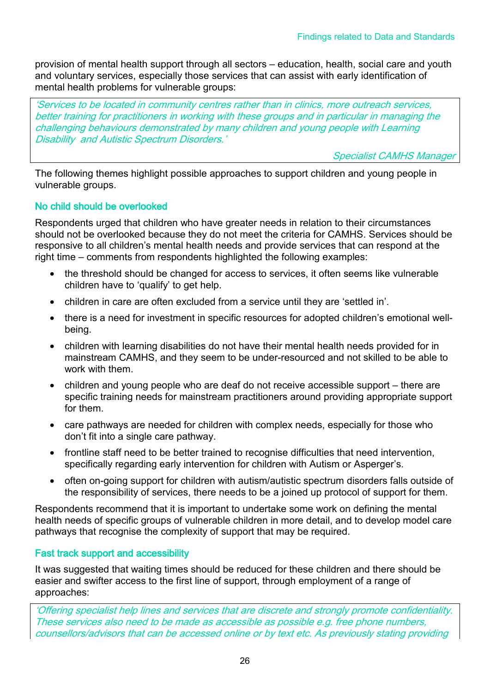provision of mental health support through all sectors – education, health, social care and youth and voluntary services, especially those services that can assist with early identification of mental health problems for vulnerable groups:

'Services to be located in community centres rather than in clinics, more outreach services, better training for practitioners in working with these groups and in particular in managing the challenging behaviours demonstrated by many children and young people with Learning Disability and Autistic Spectrum Disorders.'

Specialist CAMHS Manager

The following themes highlight possible approaches to support children and young people in vulnerable groups.

#### No child should be overlooked

Respondents urged that children who have greater needs in relation to their circumstances should not be overlooked because they do not meet the criteria for CAMHS. Services should be responsive to all children's mental health needs and provide services that can respond at the right time – comments from respondents highlighted the following examples:

- the threshold should be changed for access to services, it often seems like vulnerable children have to 'qualify' to get help.
- children in care are often excluded from a service until they are 'settled in'.
- there is a need for investment in specific resources for adopted children's emotional wellbeing.
- children with learning disabilities do not have their mental health needs provided for in mainstream CAMHS, and they seem to be under-resourced and not skilled to be able to work with them.
- children and young people who are deaf do not receive accessible support there are specific training needs for mainstream practitioners around providing appropriate support for them.
- care pathways are needed for children with complex needs, especially for those who don't fit into a single care pathway.
- frontline staff need to be better trained to recognise difficulties that need intervention, specifically regarding early intervention for children with Autism or Asperger's.
- often on-going support for children with autism/autistic spectrum disorders falls outside of the responsibility of services, there needs to be a joined up protocol of support for them.

Respondents recommend that it is important to undertake some work on defining the mental health needs of specific groups of vulnerable children in more detail, and to develop model care pathways that recognise the complexity of support that may be required.

#### Fast track support and accessibility

It was suggested that waiting times should be reduced for these children and there should be easier and swifter access to the first line of support, through employment of a range of approaches:

'Offering specialist help lines and services that are discrete and strongly promote confidentiality. These services also need to be made as accessible as possible e.g. free phone numbers, counsellors/advisors that can be accessed online or by text etc. As previously stating providing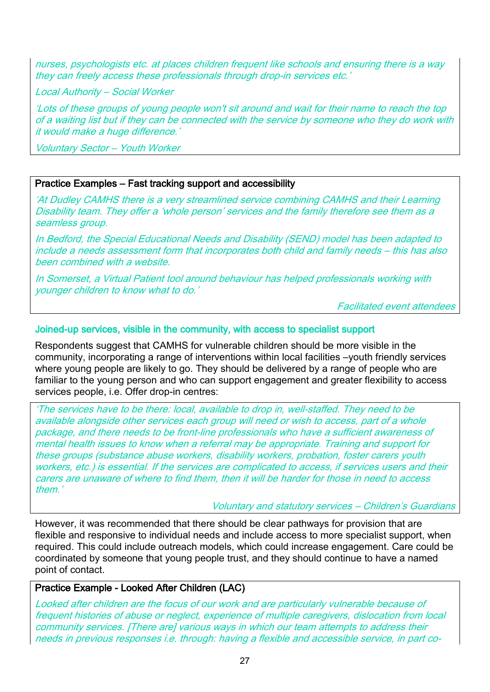nurses, psychologists etc. at places children frequent like schools and ensuring there is a way they can freely access these professionals through drop-in services etc.'

Local Authority – Social Worker

'Lots of these groups of young people won't sit around and wait for their name to reach the top of a waiting list but if they can be connected with the service by someone who they do work with it would make a huge difference.'

Voluntary Sector – Youth Worker

#### Practice Examples – Fast tracking support and accessibility

'At Dudley CAMHS there is a very streamlined service combining CAMHS and their Learning Disability team. They offer a 'whole person' services and the family therefore see them as a seamless group.

In Bedford, the Special Educational Needs and Disability (SEND) model has been adapted to include a needs assessment form that incorporates both child and family needs – this has also been combined with a website.

In Somerset, a Virtual Patient tool around behaviour has helped professionals working with younger children to know what to do.'

Facilitated event attendees

#### Joined-up services, visible in the community, with access to specialist support

Respondents suggest that CAMHS for vulnerable children should be more visible in the community, incorporating a range of interventions within local facilities –youth friendly services where young people are likely to go. They should be delivered by a range of people who are familiar to the young person and who can support engagement and greater flexibility to access services people, i.e. Offer drop-in centres:

'The services have to be there: local, available to drop in, well-staffed. They need to be available alongside other services each group will need or wish to access, part of a whole package, and there needs to be front-line professionals who have a sufficient awareness of mental health issues to know when a referral may be appropriate. Training and support for these groups (substance abuse workers, disability workers, probation, foster carers youth workers, etc.) is essential. If the services are complicated to access, if services users and their carers are unaware of where to find them, then it will be harder for those in need to access them.'

Voluntary and statutory services – Children's Guardians

However, it was recommended that there should be clear pathways for provision that are flexible and responsive to individual needs and include access to more specialist support, when required. This could include outreach models, which could increase engagement. Care could be coordinated by someone that young people trust, and they should continue to have a named point of contact.

#### Practice Example - Looked After Children (LAC)

Looked after children are the focus of our work and are particularly vulnerable because of frequent histories of abuse or neglect, experience of multiple caregivers, dislocation from local community services. [There are] various ways in which our team attempts to address their needs in previous responses i.e. through: having a flexible and accessible service, in part co-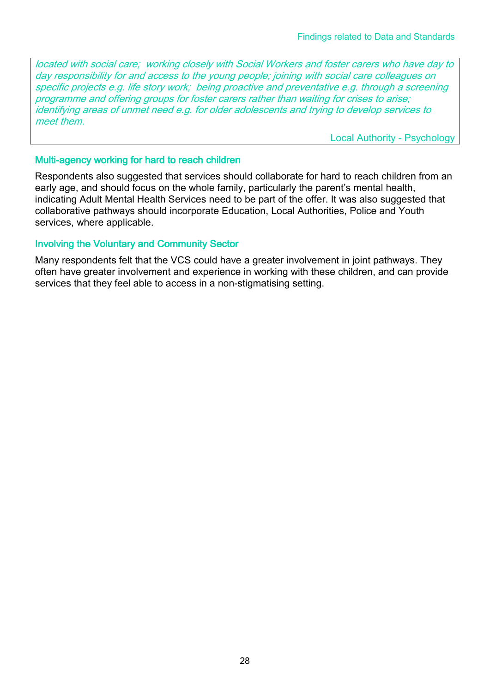located with social care; working closely with Social Workers and foster carers who have day to day responsibility for and access to the young people; joining with social care colleagues on specific projects e.g. life story work; being proactive and preventative e.g. through a screening programme and offering groups for foster carers rather than waiting for crises to arise; identifying areas of unmet need e.g. for older adolescents and trying to develop services to meet them.

Local Authority - Psychology

#### Multi-agency working for hard to reach children

Respondents also suggested that services should collaborate for hard to reach children from an early age, and should focus on the whole family, particularly the parent's mental health, indicating Adult Mental Health Services need to be part of the offer. It was also suggested that collaborative pathways should incorporate Education, Local Authorities, Police and Youth services, where applicable.

#### Involving the Voluntary and Community Sector

Many respondents felt that the VCS could have a greater involvement in joint pathways. They often have greater involvement and experience in working with these children, and can provide services that they feel able to access in a non-stigmatising setting.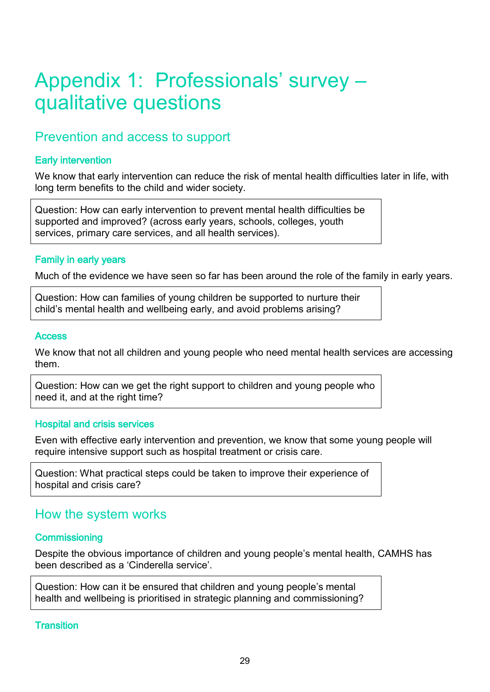# Appendix 1: Professionals' survey – qualitative questions

## Prevention and access to support

#### Early intervention

We know that early intervention can reduce the risk of mental health difficulties later in life, with long term benefits to the child and wider society.

Question: How can early intervention to prevent mental health difficulties be supported and improved? (across early years, schools, colleges, youth services, primary care services, and all health services).

#### Family in early years

Much of the evidence we have seen so far has been around the role of the family in early years.

Question: How can families of young children be supported to nurture their child's mental health and wellbeing early, and avoid problems arising?

#### **Access**

We know that not all children and young people who need mental health services are accessing them.

Question: How can we get the right support to children and young people who need it, and at the right time?

#### Hospital and crisis services

Even with effective early intervention and prevention, we know that some young people will require intensive support such as hospital treatment or crisis care.

Question: What practical steps could be taken to improve their experience of hospital and crisis care?

### How the system works

#### **Commissioning**

Despite the obvious importance of children and young people's mental health, CAMHS has been described as a 'Cinderella service'.

Question: How can it be ensured that children and young people's mental health and wellbeing is prioritised in strategic planning and commissioning?

**Transition**